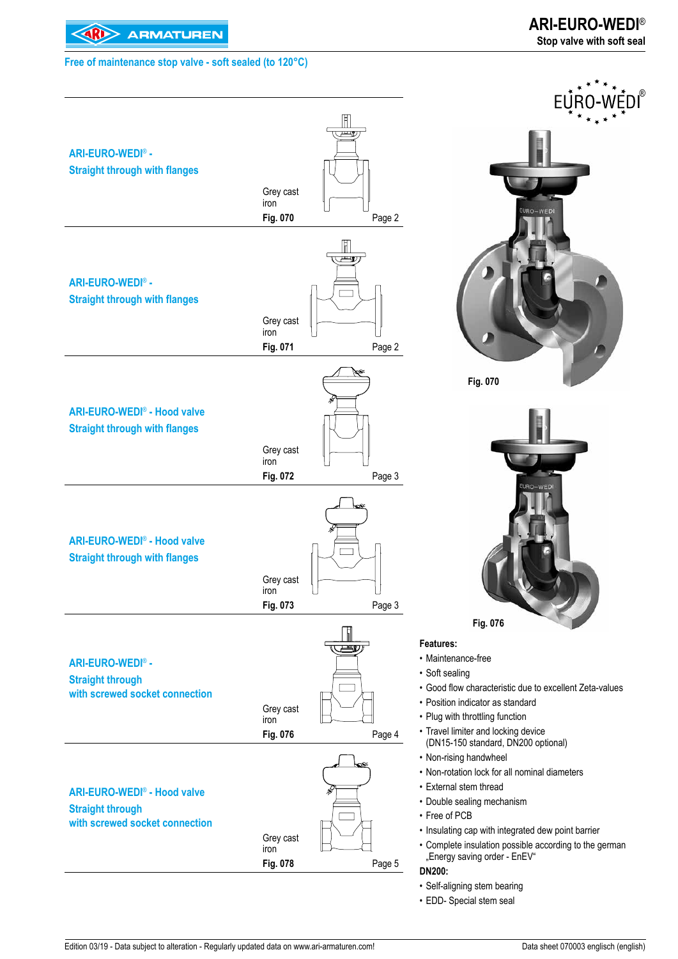

### ® FU. **ARI-EURO-WEDI**® **- Straight through with flanges**  Grey cast iron **Fig. 070** Page 2  $\mathbb{F}$ وض **ARI-EURO-WEDI**® **- Straight through with flanges** Grey cast iron **Fig. 071** Page 2 **Fig. 070 ARI-EURO-WEDI**® **- Hood valve Straight through with flanges**  Grey cast iron **Fig. 072** Page 3 **ARI-EURO-WEDI**® **- Hood valve Straight through with flanges** Grey cast iron **Fig. 073** Page 3 **Fig. 076 Features:**  • Maintenance-free **ARI-EURO-WEDI**® **-**  • Soft sealing **Straight through**  • Good flow characteristic due to excellent Zeta-values **with screwed socket connection**  • Position indicator as standard Grey cast • Plug with throttling function iron • Travel limiter and locking device **Fig. 076** Page 4 (DN15-150 standard, DN200 optional) • Non-rising handwheel • Non-rotation lock for all nominal diameters • External stem thread **ARI-EURO-WEDI**® **- Hood valve**  • Double sealing mechanism **Straight through**  • Free of PCB **with screwed socket connection**  • Insulating cap with integrated dew point barrier Grey cast • Complete insulation possible according to the german iron "Energy saving order - EnEV" **Fig. 078** Page 5 **DN200:**

- Self-aligning stem bearing
- EDD- Special stem seal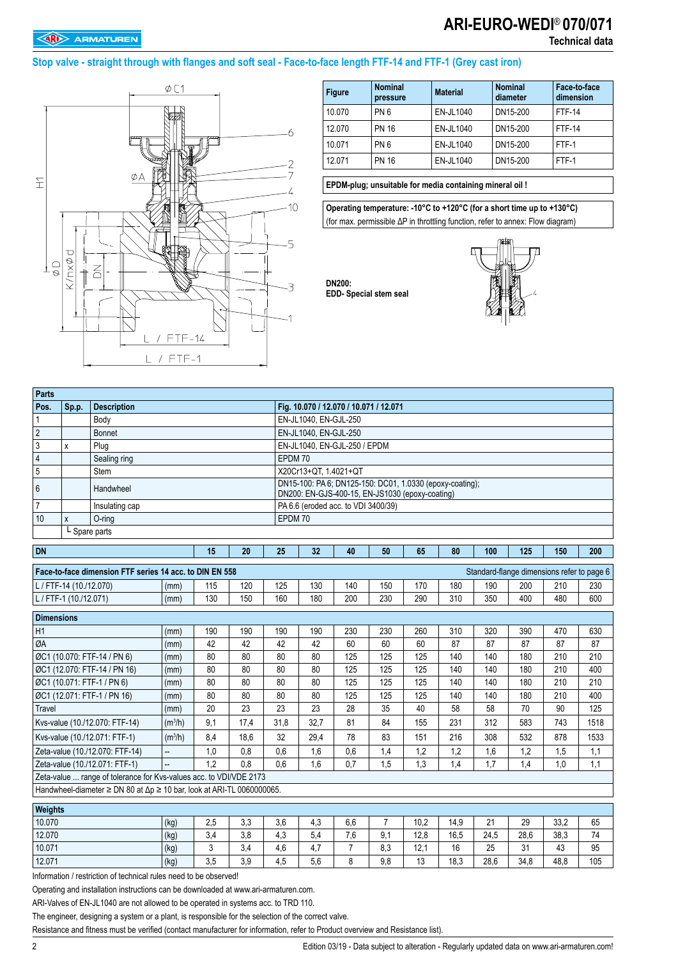# **ARI-EURO-WEDI**® **070/071**

### **Stop valve - straight through with flanges and soft seal - Face-to-face length FTF-14 and FTF-1 (Grey cast iron)**



| <b>Figure</b> | <b>Nominal</b><br>pressure | <b>Material</b> | <b>Nominal</b><br>diameter | Face-to-face<br>dimension |
|---------------|----------------------------|-----------------|----------------------------|---------------------------|
| 10.070        | PN <sub>6</sub>            | EN-JL1040       | DN15-200                   | <b>FTF-14</b>             |
| 12 070        | <b>PN 16</b>               | EN-JL1040       | DN15-200                   | <b>FTF-14</b>             |
| 10.071        | PN <sub>6</sub>            | EN-JL1040       | DN15-200                   | FTF-1                     |
| 12 071        | <b>PN 16</b>               | EN-JL1040       | DN15-200                   | FTF-1                     |

#### **EPDM-plug; unsuitable for media containing mineral oil !**

**Operating temperature: -10°C to +120°C (for a short time up to +130°C)**  (for max. permissible ΔP in throttling function, refer to annex: Flow diagram)



| <b>Parts</b>                                 |                         |                                                                                       |                     |     |      |         |                                                                                                             |                |                |      |      |      |      |                                            |      |
|----------------------------------------------|-------------------------|---------------------------------------------------------------------------------------|---------------------|-----|------|---------|-------------------------------------------------------------------------------------------------------------|----------------|----------------|------|------|------|------|--------------------------------------------|------|
| Pos.                                         | Sp.p.                   | <b>Description</b>                                                                    |                     |     |      |         | Fig. 10.070 / 12.070 / 10.071 / 12.071                                                                      |                |                |      |      |      |      |                                            |      |
| 1                                            |                         | Body                                                                                  |                     |     |      |         | EN-JL1040, EN-GJL-250                                                                                       |                |                |      |      |      |      |                                            |      |
| $\sqrt{2}$                                   |                         | Bonnet                                                                                |                     |     |      |         | EN-JL1040, EN-GJL-250                                                                                       |                |                |      |      |      |      |                                            |      |
| 3                                            | X                       | Plug                                                                                  |                     |     |      |         | EN-JL1040, EN-GJL-250 / EPDM                                                                                |                |                |      |      |      |      |                                            |      |
| 4                                            |                         | Sealing ring                                                                          |                     |     |      |         | EPDM 70                                                                                                     |                |                |      |      |      |      |                                            |      |
| 5                                            |                         | Stem                                                                                  |                     |     |      |         | X20Cr13+QT, 1.4021+QT                                                                                       |                |                |      |      |      |      |                                            |      |
| 6                                            |                         | Handwheel                                                                             |                     |     |      |         | DN15-100: PA 6; DN125-150: DC01, 1.0330 (epoxy-coating);<br>DN200: EN-GJS-400-15, EN-JS1030 (epoxy-coating) |                |                |      |      |      |      |                                            |      |
| $\overline{7}$                               |                         | Insulating cap                                                                        |                     |     |      |         | PA 6.6 (eroded acc. to VDI 3400/39)                                                                         |                |                |      |      |      |      |                                            |      |
| 10                                           | X                       | O-ring                                                                                |                     |     |      | EPDM 70 |                                                                                                             |                |                |      |      |      |      |                                            |      |
|                                              | L Spare parts           |                                                                                       |                     |     |      |         |                                                                                                             |                |                |      |      |      |      |                                            |      |
| <b>DN</b><br>15<br>20                        |                         |                                                                                       |                     | 25  | 32   | 40      | 50                                                                                                          | 65             | 80             | 100  | 125  | 150  | 200  |                                            |      |
|                                              |                         | Face-to-face dimension FTF series 14 acc. to DIN EN 558                               |                     |     |      |         |                                                                                                             |                |                |      |      |      |      | Standard-flange dimensions refer to page 6 |      |
|                                              | L / FTF-14 (10./12.070) |                                                                                       | (mm)                | 115 | 120  | 125     | 130                                                                                                         | 140            | 150            | 170  | 180  | 190  | 200  | 210                                        | 230  |
| 130<br>150<br>L / FTF-1 (10./12.071)<br>(mm) |                         |                                                                                       |                     |     | 160  | 180     | 200                                                                                                         | 230            | 290            | 310  | 350  | 400  | 480  | 600                                        |      |
| <b>Dimensions</b>                            |                         |                                                                                       |                     |     |      |         |                                                                                                             |                |                |      |      |      |      |                                            |      |
| H1                                           |                         |                                                                                       |                     | 190 | 190  | 190     | 190                                                                                                         | 230            | 230            | 260  | 310  | 320  | 390  | 470                                        | 630  |
| ØA                                           |                         |                                                                                       | (mm)                | 42  | 42   | 42      | 42                                                                                                          | 60             | 60             | 60   | 87   | 87   | 87   | 87                                         | 87   |
|                                              |                         | ØC1 (10.070: FTF-14 / PN 6)                                                           | (mm)<br>(mm)        | 80  | 80   | 80      | 80                                                                                                          | 125            | 125            | 125  | 140  | 140  | 180  | 210                                        | 210  |
|                                              |                         | ØC1 (12.070: FTF-14 / PN 16)                                                          | (mm)                | 80  | 80   | 80      | 80                                                                                                          | 125            | 125            | 125  | 140  | 140  | 180  | 210                                        | 400  |
|                                              |                         | ØC1 (10.071: FTF-1 / PN 6)                                                            | (mm)                | 80  | 80   | 80      | 80                                                                                                          | 125            | 125            | 125  | 140  | 140  | 180  | 210                                        | 210  |
|                                              |                         | ØC1 (12.071: FTF-1 / PN 16)                                                           | (mm)                | 80  | 80   | 80      | 80                                                                                                          | 125            | 125            | 125  | 140  | 140  | 180  | 210                                        | 400  |
| Travel                                       |                         |                                                                                       | (mm)                | 20  | 23   | 23      | 23                                                                                                          | 28             | 35             | 40   | 58   | 58   | 70   | 90                                         | 125  |
|                                              |                         | Kvs-value (10./12.070: FTF-14)                                                        | (m <sup>3</sup> /h) | 9,1 | 17,4 | 31,8    | 32,7                                                                                                        | 81             | 84             | 155  | 231  | 312  | 583  | 743                                        | 1518 |
|                                              |                         | Kvs-value (10./12.071: FTF-1)                                                         | (m <sup>3</sup> /h) | 8,4 | 18,6 | 32      | 29,4                                                                                                        | 78             | 83             | 151  | 216  | 308  | 532  | 878                                        | 1533 |
|                                              |                         | Zeta-value (10./12.070: FTF-14)                                                       | $\overline{a}$      | 1.0 | 0,8  | 0,6     | 1,6                                                                                                         | 0,6            | 1,4            | 1,2  | 1,2  | 1,6  | 1,2  | 1,5                                        | 1,1  |
|                                              |                         | Zeta-value (10./12.071: FTF-1)                                                        | $\overline{a}$      | 1,2 | 0.8  | 0.6     | 1,6                                                                                                         | 0.7            | 1,5            | 1,3  | 1,4  | 1,7  | 1,4  | 1,0                                        | 1,1  |
|                                              |                         | Zeta-value  range of tolerance for Kvs-values acc. to VDI/VDE 2173                    |                     |     |      |         |                                                                                                             |                |                |      |      |      |      |                                            |      |
|                                              |                         | Handwheel-diameter $\geq$ DN 80 at $\Delta p \geq 10$ bar, look at ARI-TL 0060000065. |                     |     |      |         |                                                                                                             |                |                |      |      |      |      |                                            |      |
| Weights                                      |                         |                                                                                       |                     |     |      |         |                                                                                                             |                |                |      |      |      |      |                                            |      |
| 10.070                                       |                         | (kg)<br>2,5<br>3,3                                                                    |                     |     |      | 3,6     | 4,3                                                                                                         | 6,6            | $\overline{7}$ | 10,2 | 14.9 | 21   | 29   | 33.2                                       | 65   |
| 12.070                                       | 3,8<br>3,4<br>(kg)      |                                                                                       |                     |     | 4,3  | 5,4     | 7,6                                                                                                         | 9,1            | 12,8           | 16,5 | 24,5 | 28,6 | 38,3 | 74                                         |      |
| 10.071                                       |                         |                                                                                       | (kg)                | 3   | 3,4  | 4,6     | 4,7                                                                                                         | $\overline{7}$ | 8,3            | 12,1 | 16   | 25   | 31   | 43                                         | 95   |
| 12.071                                       |                         |                                                                                       | (kq)                | 3,5 | 3.9  | 4.5     | 5,6                                                                                                         | 8              | 9.8            | 13   | 18,3 | 28.6 | 34.8 | 48.8                                       | 105  |

**DN200:** 

**EDD- Special stem seal**

Information / restriction of technical rules need to be observed!

Operating and installation instructions can be downloaded at www.ari-armaturen.com.

ARI-Valves of EN-JL1040 are not allowed to be operated in systems acc. to TRD 110.

The engineer, designing a system or a plant, is responsible for the selection of the correct valve.

Resistance and fitness must be verified (contact manufacturer for information, refer to Product overview and Resistance list).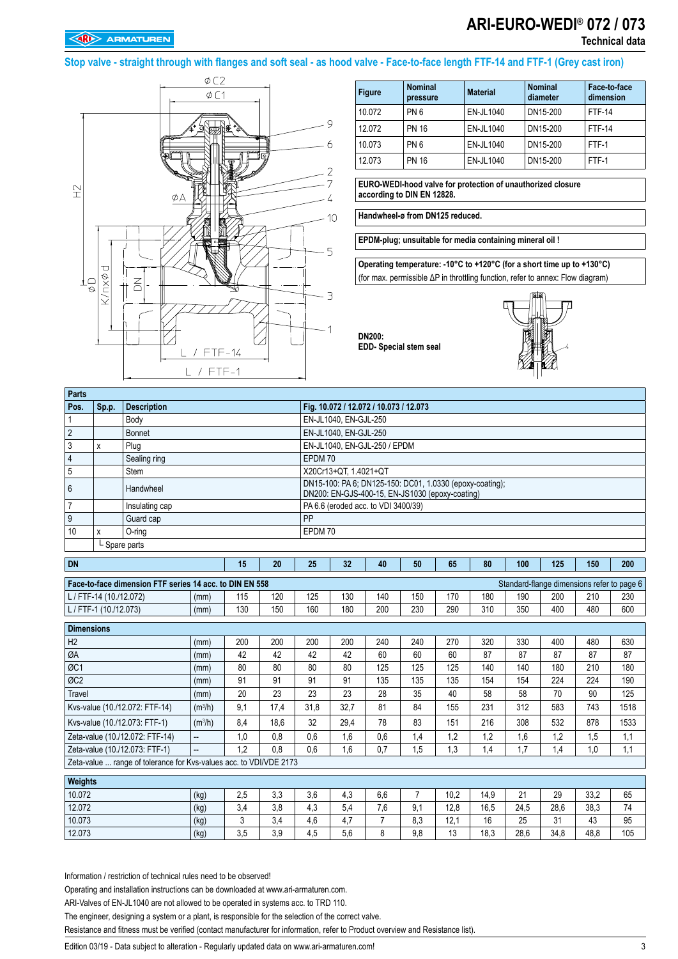## **ARI-EURO-WEDI**® **072 / 073 Technical data**

**Stop valve - straight through with flanges and soft seal - as hood valve - Face-to-face length FTF-14 and FTF-1 (Grey cast iron)**



| <b>Figure</b> | <b>Nominal</b><br>pressure | <b>Material</b> | <b>Nominal</b><br>diameter | Face-to-face<br>dimension |
|---------------|----------------------------|-----------------|----------------------------|---------------------------|
| 10.072        | PN <sub>6</sub>            | EN-JL1040       | DN15-200                   | <b>FTF-14</b>             |
| 12.072        | <b>PN 16</b>               | EN-JL1040       | DN15-200                   | <b>FTF-14</b>             |
| 10.073        | PN <sub>6</sub>            | EN-JL1040       | DN15-200                   | FTF-1                     |
| 12.073        | <b>PN 16</b>               | EN-JL1040       | DN15-200                   | FTF-1                     |

**EURO-WEDI-hood valve for protection of unauthorized closure according to DIN EN 12828.**

**Handwheel-ø from DN125 reduced.**

**EPDM-plug; unsuitable for media containing mineral oil !** 

**Operating temperature: -10°C to +120°C (for a short time up to +130°C)**  (for max. permissible ΔP in throttling function, refer to annex: Flow diagram)



| Parts           |           |                    |                                                                                                             |
|-----------------|-----------|--------------------|-------------------------------------------------------------------------------------------------------------|
| Pos.            | $ $ Sp.p. | <b>Description</b> | Fig. 10.072 / 12.072 / 10.073 / 12.073                                                                      |
|                 |           | Body               | EN-JL1040, EN-GJL-250                                                                                       |
| $\overline{2}$  |           | Bonnet             | EN-JL1040, EN-GJL-250                                                                                       |
|                 | ᄉ         | Plug               | EN-JL1040, EN-GJL-250 / EPDM                                                                                |
| $\overline{4}$  |           | Sealing ring       | EPDM 70                                                                                                     |
| 5               |           | Stem               | X20Cr13+QT 1.4021+QT                                                                                        |
| $6\phantom{1}6$ |           | Handwheel          | DN15-100: PA 6; DN125-150: DC01, 1.0330 (epoxy-coating);<br>DN200: EN-GJS-400-15, EN-JS1030 (epoxy-coating) |
|                 |           | Insulating cap     | PA 6.6 (eroded acc. to VDI 3400/39)                                                                         |
| 9               |           | Guard cap          | PP                                                                                                          |
| 10              |           | $O$ -ring          | EPDM 70                                                                                                     |
|                 |           | L Spare parts      |                                                                                                             |

**DN200:** 

**EDD- Special stem seal**

| <b>DN</b>                                                          |                                                                                                       | 15  | 20   | 25   | 32   | 40  | 50  | 65   | 80   | 100  | 125  | 150  | 200  |  |
|--------------------------------------------------------------------|-------------------------------------------------------------------------------------------------------|-----|------|------|------|-----|-----|------|------|------|------|------|------|--|
|                                                                    | Standard-flange dimensions refer to page 6<br>Face-to-face dimension FTF series 14 acc. to DIN EN 558 |     |      |      |      |     |     |      |      |      |      |      |      |  |
|                                                                    |                                                                                                       |     |      |      |      |     |     |      |      |      |      |      |      |  |
| L/FTF-14 (10./12.072)                                              | (mm)                                                                                                  | 115 | 120  | 125  | 130  | 140 | 150 | 170  | 180  | 190  | 200  | 210  | 230  |  |
| L/FTF-1 (10./12.073)                                               | (mm)                                                                                                  | 130 | 150  | 160  | 180  | 200 | 230 | 290  | 310  | 350  | 400  | 480  | 600  |  |
| <b>Dimensions</b>                                                  |                                                                                                       |     |      |      |      |     |     |      |      |      |      |      |      |  |
| H <sub>2</sub>                                                     | (mm)                                                                                                  | 200 | 200  | 200  | 200  | 240 | 240 | 270  | 320  | 330  | 400  | 480  | 630  |  |
| ØA                                                                 | (mm)                                                                                                  | 42  | 42   | 42   | 42   | 60  | 60  | 60   | 87   | 87   | 87   | 87   | 87   |  |
| ØC1                                                                | (mm)                                                                                                  | 80  | 80   | 80   | 80   | 125 | 125 | 125  | 140  | 140  | 180  | 210  | 180  |  |
| ØC <sub>2</sub>                                                    | (mm)                                                                                                  | 91  | 91   | 91   | 91   | 135 | 135 | 135  | 154  | 154  | 224  | 224  | 190  |  |
| <b>Travel</b>                                                      | (mm)                                                                                                  | 20  | 23   | 23   | 23   | 28  | 35  | 40   | 58   | 58   | 70   | 90   | 125  |  |
| Kvs-value (10./12.072: FTF-14)                                     | (m <sup>3</sup> /h)                                                                                   | 9.1 | 17,4 | 31,8 | 32,7 | 81  | 84  | 155  | 231  | 312  | 583  | 743  | 1518 |  |
| Kvs-value (10./12.073: FTF-1)                                      | (m <sup>3</sup> /h)                                                                                   | 8.4 | 18,6 | 32   | 29,4 | 78  | 83  | 151  | 216  | 308  | 532  | 878  | 1533 |  |
| Zeta-value (10./12.072: FTF-14)                                    | −−                                                                                                    | 1.0 | 0.8  | 0,6  | 1,6  | 0.6 | 1.4 | 1,2  | 1,2  | 1.6  | 1.2  | 1,5  | 1,1  |  |
| Zeta-value (10./12.073: FTF-1)                                     | −−                                                                                                    | 1.2 | 0.8  | 0.6  | 1.6  | 0.7 | 1,5 | 1,3  | 1,4  | 1.7  | 1,4  | 1,0  | 1,1  |  |
| Zeta-value  range of tolerance for Kys-values acc. to VDI/VDE 2173 |                                                                                                       |     |      |      |      |     |     |      |      |      |      |      |      |  |
| Weights                                                            |                                                                                                       |     |      |      |      |     |     |      |      |      |      |      |      |  |
| 10.072                                                             | (kg)                                                                                                  | 2,5 | 3,3  | 3,6  | 4,3  | 6,6 | 7   | 10.2 | 14,9 | 21   | 29   | 33,2 | 65   |  |
| 12.072                                                             | (kg)                                                                                                  | 3,4 | 3,8  | 4,3  | 5,4  | 7,6 | 9,1 | 12,8 | 16,5 | 24,5 | 28,6 | 38,3 | 74   |  |

10.073 (kg) 3 3,4 4,6 4,7 7 8,3 12,1 16 25 31 43 95 12.073 (kg) 3,5 3,9 4,5 5,6 8 9,8 13 18,3 28,6 34,8 48,8 105

Information / restriction of technical rules need to be observed!

Operating and installation instructions can be downloaded at www.ari-armaturen.com.

ARI-Valves of EN-JL1040 are not allowed to be operated in systems acc. to TRD 110.

The engineer, designing a system or a plant, is responsible for the selection of the correct valve.

Resistance and fitness must be verified (contact manufacturer for information, refer to Product overview and Resistance list).

Edition 03/19 - Data subject to alteration - Regularly updated data on www.ari-armaturen.com! 3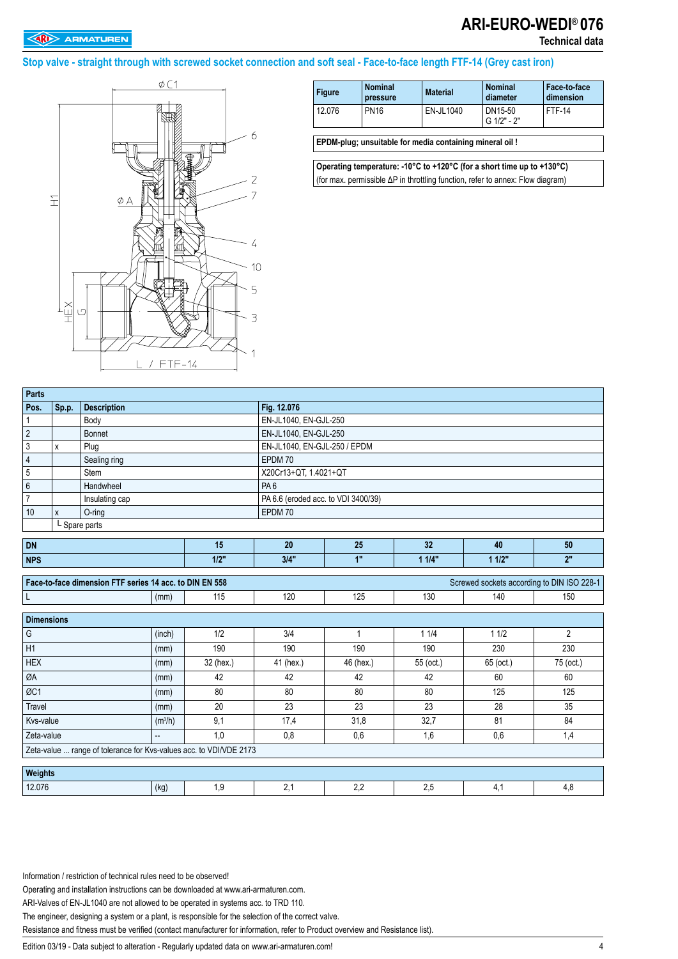# **ARI-EURO-WEDI**® **076**

**Technical data**

### **Stop valve - straight through with screwed socket connection and soft seal - Face-to-face length FTF-14 (Grey cast iron)**



| <b>Figure</b> | <b>Nominal</b><br>pressure | <b>Material</b> | <b>Nominal</b><br>diameter | Face to face<br>dimension |
|---------------|----------------------------|-----------------|----------------------------|---------------------------|
| 12.076        | <b>PN16</b>                | EN-JL1040       | DN15-50<br>G 1/2" - 2"     | FTF-14                    |

**EPDM-plug; unsuitable for media containing mineral oil !** 

**Operating temperature: -10°C to +120°C (for a short time up to +130°C)**  (for max. permissible ΔP in throttling function, refer to annex: Flow diagram)

| <b>Parts</b>                                                       |                                         |                                                         |        |           |                                     |                              |           |                                            |                |  |  |  |
|--------------------------------------------------------------------|-----------------------------------------|---------------------------------------------------------|--------|-----------|-------------------------------------|------------------------------|-----------|--------------------------------------------|----------------|--|--|--|
| Pos.                                                               |                                         | <b>Description</b>                                      |        |           | Fig. 12.076                         |                              |           |                                            |                |  |  |  |
| 1                                                                  | Sp.p.                                   | Body                                                    |        |           | EN-JL1040, EN-GJL-250               |                              |           |                                            |                |  |  |  |
| $\overline{2}$                                                     |                                         | <b>Bonnet</b>                                           |        |           | EN-JL1040, EN-GJL-250               |                              |           |                                            |                |  |  |  |
| 3                                                                  | $\mathsf{x}$                            | Plug                                                    |        |           |                                     | EN-JL1040, EN-GJL-250 / EPDM |           |                                            |                |  |  |  |
| 4                                                                  |                                         | Sealing ring                                            |        |           | EPDM 70                             |                              |           |                                            |                |  |  |  |
| 5                                                                  |                                         | Stem                                                    |        |           | X20Cr13+QT, 1.4021+QT               |                              |           |                                            |                |  |  |  |
| 6                                                                  |                                         | Handwheel                                               |        |           | PA <sub>6</sub>                     |                              |           |                                            |                |  |  |  |
| $\overline{7}$                                                     |                                         | Insulating cap                                          |        |           | PA 6.6 (eroded acc. to VDI 3400/39) |                              |           |                                            |                |  |  |  |
| 10                                                                 | X                                       | $O$ -ring                                               |        |           | EPDM 70                             |                              |           |                                            |                |  |  |  |
| L Spare parts                                                      |                                         |                                                         |        |           |                                     |                              |           |                                            |                |  |  |  |
| <b>DN</b>                                                          |                                         |                                                         |        | 15        | 20                                  | 25                           | 32        | 40                                         | 50             |  |  |  |
| 1/2"<br><b>NPS</b>                                                 |                                         |                                                         |        |           | 3/4"                                | 1"                           | 11/4"     | 11/2"                                      | 2"             |  |  |  |
|                                                                    |                                         |                                                         |        |           |                                     |                              |           |                                            |                |  |  |  |
|                                                                    |                                         | Face-to-face dimension FTF series 14 acc. to DIN EN 558 |        |           |                                     |                              |           | Screwed sockets according to DIN ISO 228-1 |                |  |  |  |
| L                                                                  |                                         |                                                         | (mm)   | 115       | 120                                 | 125                          | 130       | 140                                        | 150            |  |  |  |
| <b>Dimensions</b>                                                  |                                         |                                                         |        |           |                                     |                              |           |                                            |                |  |  |  |
| G                                                                  |                                         |                                                         | (inch) | 1/2       | 3/4                                 | 1                            | 11/4      | 11/2                                       | $\overline{2}$ |  |  |  |
| H1                                                                 |                                         |                                                         |        | 190       | 190                                 | 190                          | 190       | 230                                        | 230            |  |  |  |
|                                                                    |                                         |                                                         | (mm)   |           |                                     |                              |           |                                            |                |  |  |  |
| <b>HEX</b>                                                         |                                         |                                                         | (mm)   | 32 (hex.) | 41 (hex.)                           | 46 (hex.)                    | 55 (oct.) | 65 (oct.)                                  | 75 (oct.)      |  |  |  |
| ØA                                                                 |                                         |                                                         | (mm)   | 42        | 42                                  | 42                           | 42        | 60                                         | 60             |  |  |  |
| ØC1                                                                |                                         |                                                         | (mm)   | 80        | 80                                  | 80                           | 80        | 125                                        | 125            |  |  |  |
| Travel                                                             |                                         |                                                         | (mm)   | 20        | 23                                  | 23                           | 23        | 28                                         | 35             |  |  |  |
|                                                                    | 9,1<br>Kvs-value<br>(m <sup>3</sup> /h) |                                                         |        |           | 17,4                                | 31,8                         | 32,7      | 81                                         | 84             |  |  |  |
|                                                                    | 1,0<br>Zeta-value<br>−−                 |                                                         |        |           | 0,8                                 | 0,6                          | 1,6       | 0,6                                        | 1,4            |  |  |  |
| Zeta-value  range of tolerance for Kvs-values acc. to VDI/VDE 2173 |                                         |                                                         |        |           |                                     |                              |           |                                            |                |  |  |  |
| Weights                                                            |                                         |                                                         |        |           |                                     |                              |           |                                            |                |  |  |  |
| 12.076                                                             |                                         |                                                         | (kg)   | 1,9       | 2,1                                 | 2,2                          | 2,5       | 4,1                                        | 4,8            |  |  |  |
|                                                                    |                                         |                                                         |        |           |                                     |                              |           |                                            |                |  |  |  |

Information / restriction of technical rules need to be observed!

Operating and installation instructions can be downloaded at www.ari-armaturen.com.

ARI-Valves of EN-JL1040 are not allowed to be operated in systems acc. to TRD 110.

The engineer, designing a system or a plant, is responsible for the selection of the correct valve.

Resistance and fitness must be verified (contact manufacturer for information, refer to Product overview and Resistance list).

Edition 03/19 - Data subject to alteration - Regularly updated data on www.ari-armaturen.com! 4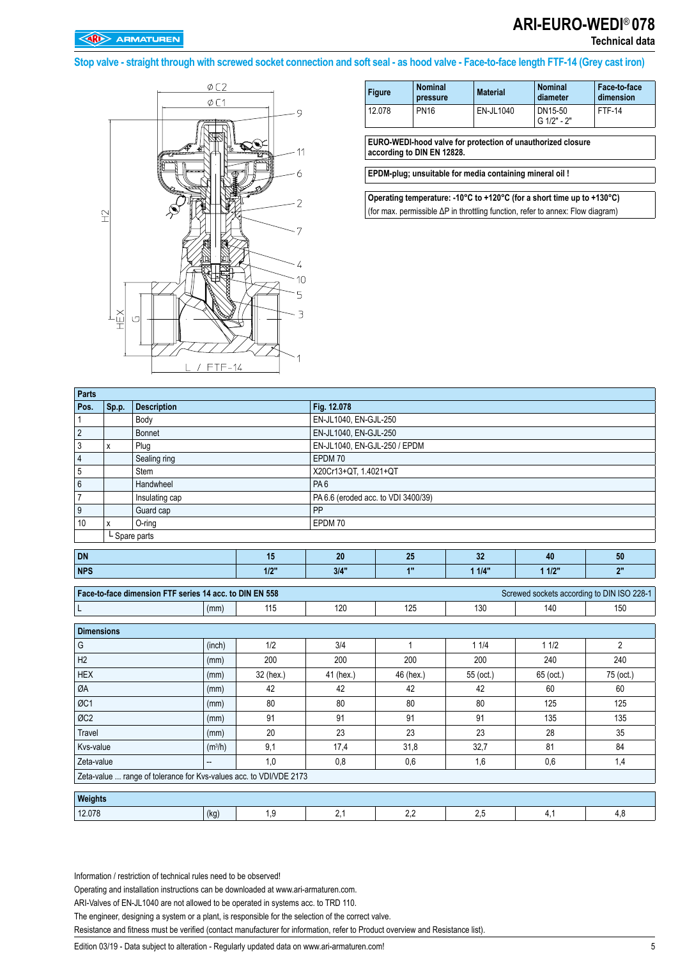**Technical data**

**Stop valve - straight through with screwed socket connection and soft seal - as hood valve - Face-to-face length FTF-14 (Grey cast iron)**



| <b>Figure</b> | <b>Nominal</b><br>pressure | <b>Material</b> | <b>Nominal</b><br>diameter | Face-to-face<br>dimension |
|---------------|----------------------------|-----------------|----------------------------|---------------------------|
| 12.078        | <b>PN16</b>                | EN-JL1040       | DN15-50<br>G 1/2" - 2"     | <b>FTF-14</b>             |
|               |                            |                 |                            |                           |

**EURO-WEDI-hood valve for protection of unauthorized closure according to DIN EN 12828.**

**EPDM-plug; unsuitable for media containing mineral oil !** 

**Operating temperature: -10°C to +120°C (for a short time up to +130°C)**  (for max. permissible ΔP in throttling function, refer to annex: Flow diagram)

| Parts          |       |                    |    |                                     |    |    |    |    |  |  |
|----------------|-------|--------------------|----|-------------------------------------|----|----|----|----|--|--|
| Pos.           | Sp.p. | <b>Description</b> |    | Fig. 12.078                         |    |    |    |    |  |  |
|                |       | Body               |    | EN-JL1040, EN-GJL-250               |    |    |    |    |  |  |
| $\overline{2}$ |       | <b>Bonnet</b>      |    | EN-JL1040, EN-GJL-250               |    |    |    |    |  |  |
| 3              | x     | Plug               |    | EN-JL1040, EN-GJL-250 / EPDM        |    |    |    |    |  |  |
| $\overline{4}$ |       | Sealing ring       |    | EPDM 70                             |    |    |    |    |  |  |
| 5              |       | Stem               |    | X20Cr13+QT, 1.4021+QT               |    |    |    |    |  |  |
| $\,6\,$        |       | Handwheel          |    | PA <sub>6</sub>                     |    |    |    |    |  |  |
| $\overline{7}$ |       | Insulating cap     |    | PA 6.6 (eroded acc. to VDI 3400/39) |    |    |    |    |  |  |
| 9              |       | Guard cap          |    | PP                                  |    |    |    |    |  |  |
| 10             | x     | $O$ -ring          |    | EPDM 70                             |    |    |    |    |  |  |
|                |       | L Spare parts      |    |                                     |    |    |    |    |  |  |
| <b>DN</b>      |       |                    | 15 | 20                                  | 25 | 32 | 40 | 50 |  |  |

| <b>NPS</b>                                                                                            |      | 1/2"         | 3/4" | $\overline{AB}$ | 1/4" | 112" | $^{\circ}$ |  |  |  |  |
|-------------------------------------------------------------------------------------------------------|------|--------------|------|-----------------|------|------|------------|--|--|--|--|
| Screwed sockets according to DIN ISO 228-1<br>Face to face dimension FTF series 14 acc. to DIN EN 558 |      |              |      |                 |      |      |            |  |  |  |  |
|                                                                                                       | (mm) | 11F<br>! I J | 120  | 125             | 130  | 140  | 150        |  |  |  |  |

| <b>Dimensions</b>                                                  |                          |           |           |           |           |           |           |
|--------------------------------------------------------------------|--------------------------|-----------|-----------|-----------|-----------|-----------|-----------|
| l G                                                                | (inch)                   | 1/2       | 3/4       |           | 11/4      | 11/2      | 2         |
| H2                                                                 | (mm)                     | 200       | 200       | 200       | 200       | 240       | 240       |
| <b>HEX</b>                                                         | (mm)                     | 32 (hex.) | 41 (hex.) | 46 (hex.) | 55 (oct.) | 65 (oct.) | 75 (oct.) |
| ØA                                                                 | (mm)                     | 42        | 42        | 42        | 42        | 60        | 60        |
| <i>ØC1</i>                                                         | (mm)                     | 80        | 80        | 80        | 80        | 125       | 125       |
| $\sigma$                                                           | (mm)                     | 91        | 91        | 91        | 91        | 135       | 135       |
| Travel                                                             | (mm)                     | 20        | 23        | 23        | 23        | 28        | 35        |
| Kvs-value                                                          | (m <sup>3</sup> /h)      | 9,1       | 17,4      | 31,8      | 32,7      | 81        | 84        |
| Zeta-value                                                         | $\overline{\phantom{a}}$ | 1,0       | 0,8       | 0,6       | 1,6       | 0,6       | 1,4       |
| Zeta-value  range of tolerance for Kvs-values acc. to VDI/VDE 2173 |                          |           |           |           |           |           |           |

| <b>Weights</b> |               |   |     |          |            |     |
|----------------|---------------|---|-----|----------|------------|-----|
| 12.078         | $\mu$<br>(ny) | . | . . | n.,<br>. | <b>L.V</b> | 4.C |

Information / restriction of technical rules need to be observed!

Operating and installation instructions can be downloaded at www.ari-armaturen.com.

ARI-Valves of EN-JL1040 are not allowed to be operated in systems acc. to TRD 110.

The engineer, designing a system or a plant, is responsible for the selection of the correct valve.

Resistance and fitness must be verified (contact manufacturer for information, refer to Product overview and Resistance list).

Edition 03/19 - Data subject to alteration - Regularly updated data on www.ari-armaturen.com! 5